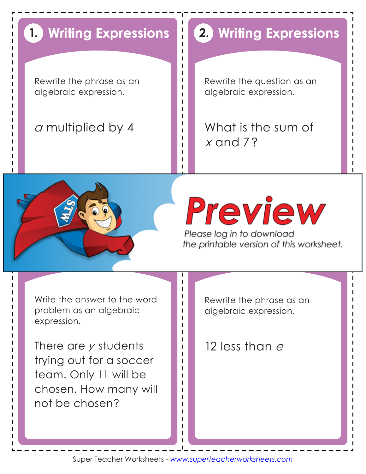## **Writing Expressions 1.**

Rewrite the phrase as an algebraic expression.

## *<sup>a</sup>* multiplied by 4

## **Writing Expressions 2.**

Rewrite the question as an algebraic expression.

What is the sum of *x* and 7?



# Preview

Please log in to download the printable version of this worksheet. **4.**

Write the answer to the word problem as an algebraic expression.

There are *y* students trying out for a soccer team. Only 11 will be chosen. How many will not be chosen?

Rewrite the phrase as an algebraic expression.

12 less than *<sup>e</sup>*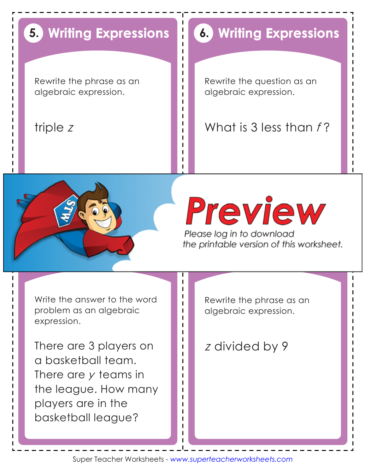## **Writing Expressions 5.**

Rewrite the phrase as an algebraic expression.

### triple *<sup>z</sup>*

## **Writing Expressions 6.**

Rewrite the question as an algebraic expression.

What is 3 less than *f* ?



# Preview

Please log in to download the printable version of this worksheet. **8.**

Write the answer to the word problem as an algebraic expression.

There are 3 players on a basketball team. There are *y* teams in the league. How many players are in the basketball league?

Rewrite the phrase as an algebraic expression.

z divided by 9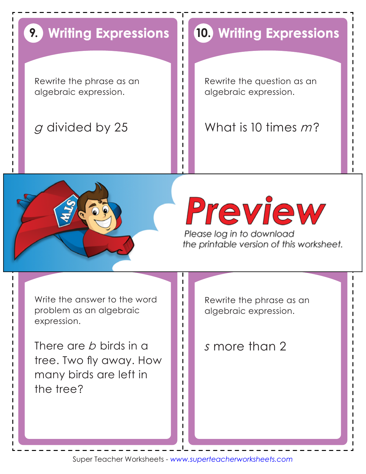## **Writing Expressions 9.**

Rewrite the phrase as an algebraic expression.

## *g* divided by 25

## **Writing Expressions 10.**

Rewrite the question as an algebraic expression.

What is 10 times *m*?



# Preview

Please log in to download the printable version of this worksheet. **12.**

Write the answer to the word problem as an algebraic expression.

There are *b* birds in a tree. Two fly away. How many birds are left in the tree?

Rewrite the phrase as an algebraic expression.

### *<sup>s</sup>*more than 2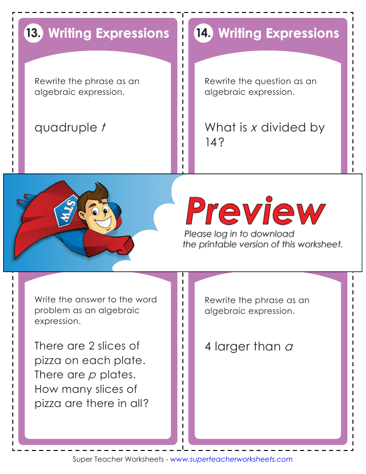## **Writing Expressions 13.**

Rewrite the phrase as an algebraic expression.

## quadruple *t*

## **Writing Expressions 14.**

Rewrite the question as an algebraic expression.

What is *x* divided by 14?



# Preview

Please log in to download the printable version of this worksheet. **16.**

Write the answer to the word problem as an algebraic expression.

There are 2 slices of pizza on each plate. There are *p* plates. How many slices of pizza are there in all?

Rewrite the phrase as an algebraic expression.

4 larger than *<sup>a</sup>*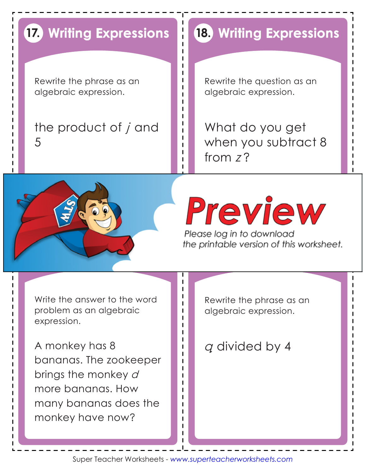## **Writing Expressions 17.**

Rewrite the phrase as an algebraic expression.

the product of *j* and 5

## **Writing Expressions 18.**

Rewrite the question as an algebraic expression.

What do you get when you subtract 8 from *<sup>z</sup>* ?



## Preview Please log in to download

the printable version of this worksheet. **20.**

Write the answer to the word problem as an algebraic expression.

A monkey has 8 bananas. The zookeeper brings the monkey *d* more bananas. How many bananas does the monkey have now?

Rewrite the phrase as an algebraic expression.

*q* divided by 4

Super Teacher Worksheets - *www.superteacherworksheets.com*

Ш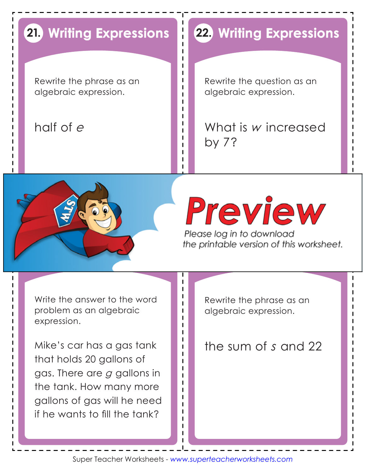## **21. Writing Expressions**

Rewrite the phrase as an algebraic expression.

## half of *<sup>e</sup>*

## **22. Writing Expressions**

Rewrite the question as an algebraic expression.

What is *w* increased by 7?



# Preview

Please log in to download the printable version of this worksheet. **24.**

Write the answer to the word problem as an algebraic expression.

Mike's car has a gas tank that holds 20 gallons of gas. There are *g* gallons in the tank. How many more gallons of gas will he need if he wants to fill the tank?

Rewrite the phrase as an algebraic expression.

the sum of *s* and 22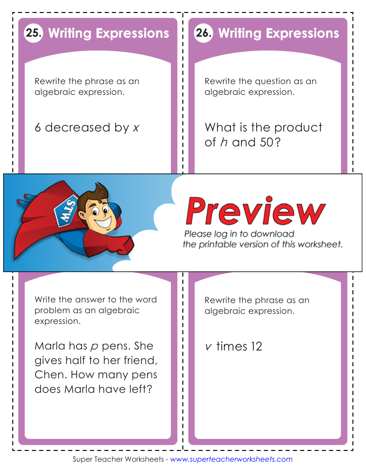## **25. Writing Expressions**

Rewrite the phrase as an algebraic expression.

## 6 decreased by *<sup>x</sup>*

## **26. Writing Expressions**

Rewrite the question as an algebraic expression.

What is the product of *h* and 50?



# Preview

Please log in to download the printable version of this worksheet. **28.**

Write the answer to the word problem as an algebraic expression.

Marla has *p* pens. She gives half to her friend, Chen. How many pens does Marla have left?

Rewrite the phrase as an algebraic expression.

*v* times 12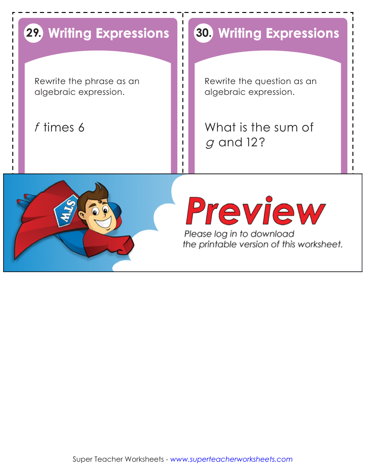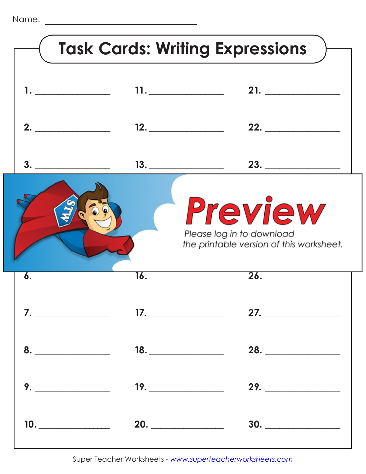| <b>Task Cards: Writing Expressions</b>                                           |                                                                                                                                                                                                                              |                   |
|----------------------------------------------------------------------------------|------------------------------------------------------------------------------------------------------------------------------------------------------------------------------------------------------------------------------|-------------------|
|                                                                                  | 11.                                                                                                                                                                                                                          | 21.               |
| 2. $\qquad \qquad$                                                               |                                                                                                                                                                                                                              |                   |
| 3.                                                                               |                                                                                                                                                                                                                              | 23.               |
| Preview<br>Please log in to download<br>the printable version of this worksheet. |                                                                                                                                                                                                                              |                   |
|                                                                                  | <u>16. ____________</u>                                                                                                                                                                                                      | $\overline{26.}$  |
|                                                                                  |                                                                                                                                                                                                                              |                   |
|                                                                                  |                                                                                                                                                                                                                              | 28.               |
|                                                                                  | $9.$ 2008. 2008. 2009. 2009. 2009. 2009. 2009. 2009. 2009. 2009. 2009. 2009. 2009. 2009. 2009. 2009. 2009. 2009. 2009. 2009. 2009. 2009. 2009. 2009. 2009. 2009. 2009. 2009. 2009. 2009. 2009. 2009. 2009. 2009. 2009. 2009. | 29.               |
|                                                                                  |                                                                                                                                                                                                                              | $10.$ 20. 20. 30. |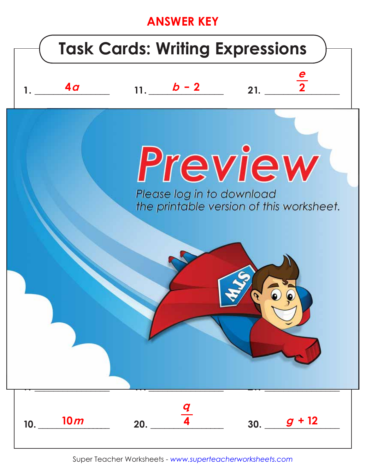## **ANSWER KEY**



Super Teacher Worksheets - www.superteacherworksheets.com